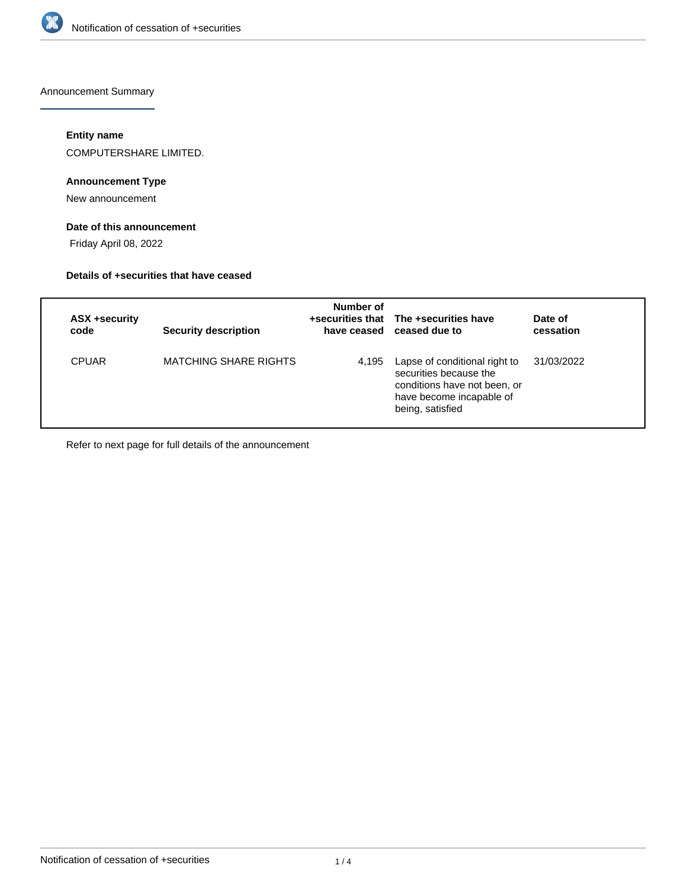

Announcement Summary

### **Entity name**

COMPUTERSHARE LIMITED.

# **Announcement Type**

New announcement

# **Date of this announcement**

Friday April 08, 2022

#### **Details of +securities that have ceased**

| ASX +security<br>code | <b>Security description</b>  | Number of | +securities that The +securities have<br>have ceased ceased due to                                                                      | Date of<br>cessation |
|-----------------------|------------------------------|-----------|-----------------------------------------------------------------------------------------------------------------------------------------|----------------------|
| <b>CPUAR</b>          | <b>MATCHING SHARE RIGHTS</b> | 4.195     | Lapse of conditional right to<br>securities because the<br>conditions have not been, or<br>have become incapable of<br>being, satisfied | 31/03/2022           |

Refer to next page for full details of the announcement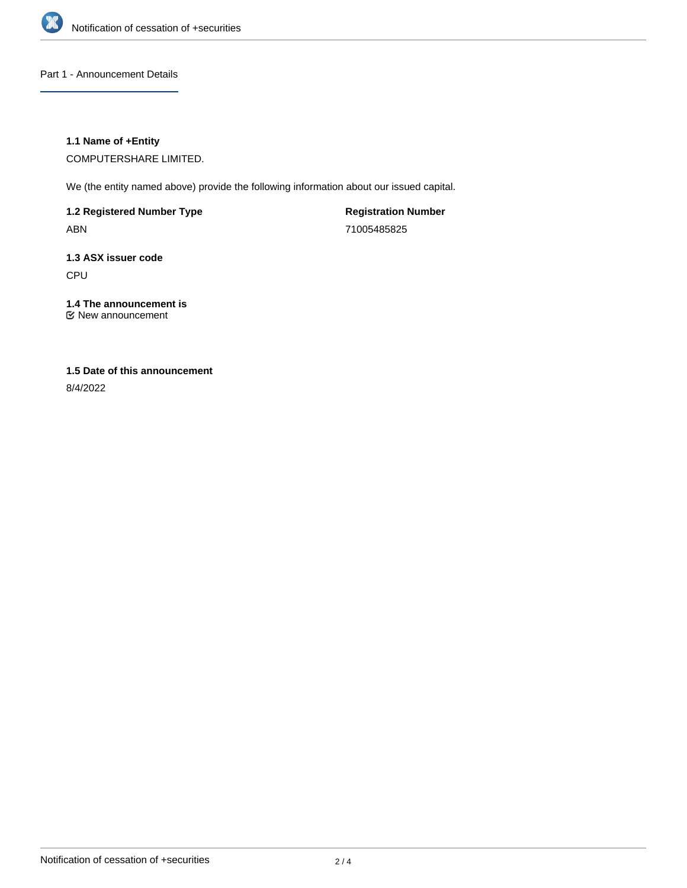

Part 1 - Announcement Details

### **1.1 Name of +Entity**

COMPUTERSHARE LIMITED.

We (the entity named above) provide the following information about our issued capital.

**1.2 Registered Number Type** ABN

**Registration Number** 71005485825

**1.3 ASX issuer code** CPU

**1.4 The announcement is** New announcement

# **1.5 Date of this announcement**

8/4/2022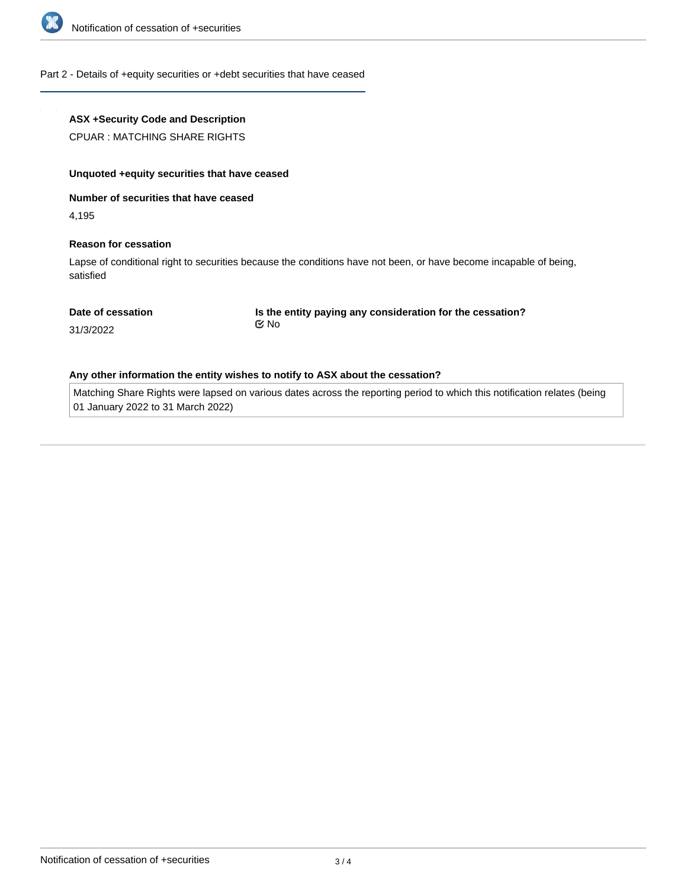

#### Part 2 - Details of +equity securities or +debt securities that have ceased

#### **ASX +Security Code and Description**

CPUAR : MATCHING SHARE RIGHTS

#### **Unquoted +equity securities that have ceased**

**Number of securities that have ceased**

4,195

#### **Reason for cessation**

Lapse of conditional right to securities because the conditions have not been, or have become incapable of being, satisfied

#### **Date of cessation**

**Is the entity paying any consideration for the cessation?** No

31/3/2022

#### **Any other information the entity wishes to notify to ASX about the cessation?**

Matching Share Rights were lapsed on various dates across the reporting period to which this notification relates (being 01 January 2022 to 31 March 2022)